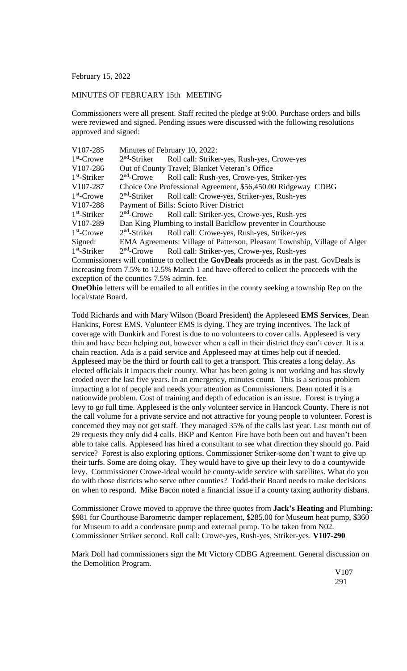February 15, 2022

## MINUTES OF FEBRUARY 15th MEETING

Commissioners were all present. Staff recited the pledge at 9:00. Purchase orders and bills were reviewed and signed. Pending issues were discussed with the following resolutions approved and signed:

| V107-285                                                                                 | Minutes of February 10, 2022:                                             |                                             |
|------------------------------------------------------------------------------------------|---------------------------------------------------------------------------|---------------------------------------------|
| $1st$ -Crowe                                                                             | $2nd$ -Striker                                                            | Roll call: Striker-yes, Rush-yes, Crowe-yes |
| V <sub>107</sub> -286                                                                    | Out of County Travel; Blanket Veteran's Office                            |                                             |
| $1st$ -Striker                                                                           | $2nd$ -Crowe                                                              | Roll call: Rush-yes, Crowe-yes, Striker-yes |
| V107-287                                                                                 | Choice One Professional Agreement, \$56,450.00 Ridgeway CDBG              |                                             |
| $1st$ -Crowe                                                                             | $2nd$ -Striker                                                            | Roll call: Crowe-yes, Striker-yes, Rush-yes |
| V <sub>107</sub> -288                                                                    | Payment of Bills: Scioto River District                                   |                                             |
| $1st$ -Striker                                                                           | $2nd$ -Crowe                                                              | Roll call: Striker-yes, Crowe-yes, Rush-yes |
| V107-289                                                                                 | Dan King Plumbing to install Backflow preventer in Courthouse             |                                             |
| $1st$ -Crowe                                                                             | $2nd$ -Striker                                                            | Roll call: Crowe-yes, Rush-yes, Striker-yes |
| Signed:                                                                                  | EMA Agreements: Village of Patterson, Pleasant Township, Village of Alger |                                             |
| $1st$ -Striker                                                                           | $2nd$ -Crowe                                                              | Roll call: Striker-yes, Crowe-yes, Rush-yes |
| Commissioners will continue to collect the GovDeals proceeds as in the past. GovDeals is |                                                                           |                                             |
| increasing from 7.5% to 12.5% March 1 and have offered to collect the proceeds with the  |                                                                           |                                             |

exception of the counties 7.5% admin. fee.

**OneOhio** letters will be emailed to all entities in the county seeking a township Rep on the local/state Board.

Todd Richards and with Mary Wilson (Board President) the Appleseed **EMS Services**, Dean Hankins, Forest EMS. Volunteer EMS is dying. They are trying incentives. The lack of coverage with Dunkirk and Forest is due to no volunteers to cover calls. Appleseed is very thin and have been helping out, however when a call in their district they can't cover. It is a chain reaction. Ada is a paid service and Appleseed may at times help out if needed. Appleseed may be the third or fourth call to get a transport. This creates a long delay. As elected officials it impacts their county. What has been going is not working and has slowly eroded over the last five years. In an emergency, minutes count. This is a serious problem impacting a lot of people and needs your attention as Commissioners. Dean noted it is a nationwide problem. Cost of training and depth of education is an issue. Forest is trying a levy to go full time. Appleseed is the only volunteer service in Hancock County. There is not the call volume for a private service and not attractive for young people to volunteer. Forest is concerned they may not get staff. They managed 35% of the calls last year. Last month out of 29 requests they only did 4 calls. BKP and Kenton Fire have both been out and haven't been able to take calls. Appleseed has hired a consultant to see what direction they should go. Paid service? Forest is also exploring options. Commissioner Striker-some don't want to give up their turfs. Some are doing okay. They would have to give up their levy to do a countywide levy. Commissioner Crowe-ideal would be county-wide service with satellites. What do you do with those districts who serve other counties? Todd-their Board needs to make decisions on when to respond. Mike Bacon noted a financial issue if a county taxing authority disbans.

Commissioner Crowe moved to approve the three quotes from **Jack's Heating** and Plumbing: \$981 for Courthouse Barometric damper replacement, \$285.00 for Museum heat pump, \$360 for Museum to add a condensate pump and external pump. To be taken from N02. Commissioner Striker second. Roll call: Crowe-yes, Rush-yes, Striker-yes. **V107-290**

Mark Doll had commissioners sign the Mt Victory CDBG Agreement. General discussion on the Demolition Program.

> V107 291